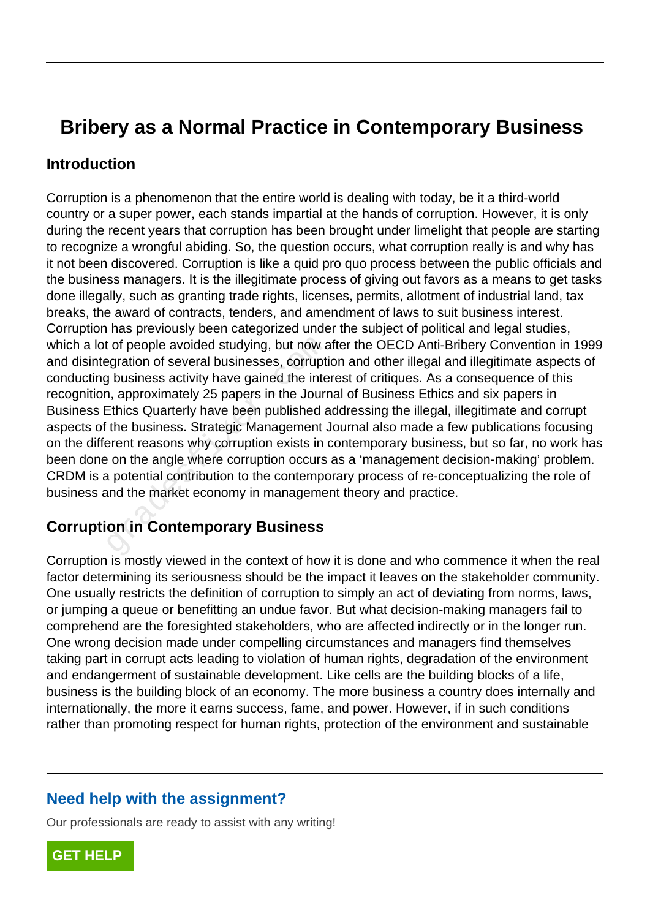# **Bribery as a Normal Practice in Contemporary Business**

#### **Introduction**

Corruption is a phenomenon that the entire world is dealing with today, be it a third-world country or a super power, each stands impartial at the hands of corruption. However, it is only during the recent years that corruption has been brought under limelight that people are starting to recognize a wrongful abiding. So, the question occurs, what corruption really is and why has it not been discovered. Corruption is like a quid pro quo process between the public officials and the business managers. It is the illegitimate process of giving out favors as a means to get tasks done illegally, such as granting trade rights, licenses, permits, allotment of industrial land, tax breaks, the award of contracts, tenders, and amendment of laws to suit business interest. Corruption has previously been categorized under the subject of political and legal studies, which a lot of people avoided studying, but now after the OECD Anti-Bribery Convention in 1999 and disintegration of several businesses, corruption and other illegal and illegitimate aspects of conducting business activity have gained the interest of critiques. As a consequence of this recognition, approximately 25 papers in the Journal of Business Ethics and six papers in Business Ethics Quarterly have been published addressing the illegal, illegitimate and corrupt aspects of the business. Strategic Management Journal also made a few publications focusing on the different reasons why corruption exists in contemporary business, but so far, no work has been done on the angle where corruption occurs as a 'management decision-making' problem. CRDM is a potential contribution to the contemporary process of re-conceptualizing the role of business and the market economy in management theory and practice. It of people avoided studying, but now a<br>gration of several businesses, corruptical physiness activity have gained the inter-<br>in, approximately 25 papers in the Journ<br>Ethics Quarterly have been published a<br>the business. St

#### **Corruption in Contemporary Business**

Corruption is mostly viewed in the context of how it is done and who commence it when the real factor determining its seriousness should be the impact it leaves on the stakeholder community. One usually restricts the definition of corruption to simply an act of deviating from norms, laws, or jumping a queue or benefitting an undue favor. But what decision-making managers fail to comprehend are the foresighted stakeholders, who are affected indirectly or in the longer run. One wrong decision made under compelling circumstances and managers find themselves taking part in corrupt acts leading to violation of human rights, degradation of the environment and endangerment of sustainable development. Like cells are the building blocks of a life, business is the building block of an economy. The more business a country does internally and internationally, the more it earns success, fame, and power. However, if in such conditions rather than promoting respect for human rights, protection of the environment and sustainable

#### **Need help with the assignment?**

Our professionals are ready to assist with any writing!

**[GET HELP](https://my.gradesfixer.com/order?utm_campaign=pdf_sample)**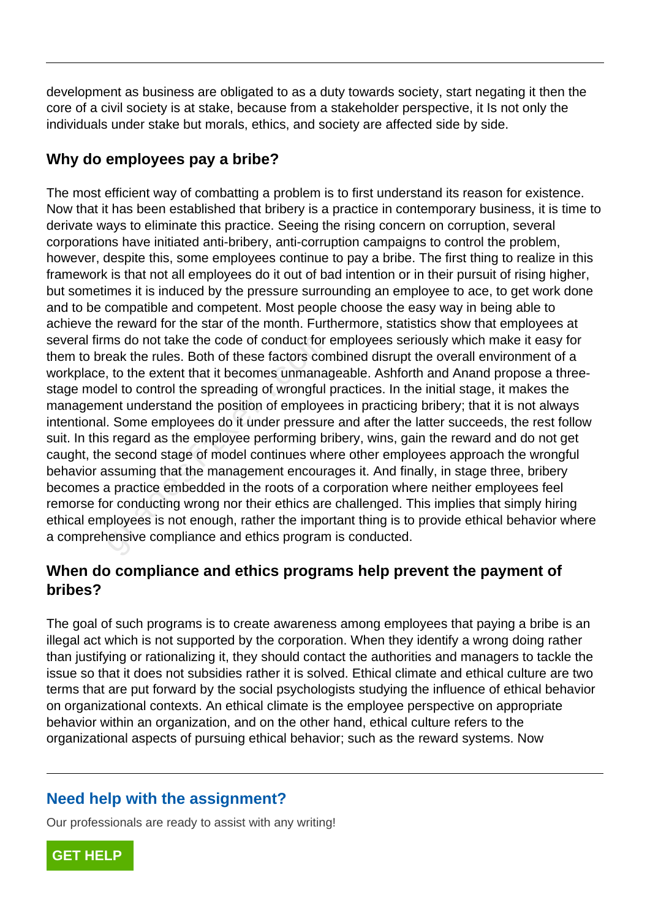development as business are obligated to as a duty towards society, start negating it then the core of a civil society is at stake, because from a stakeholder perspective, it Is not only the individuals under stake but morals, ethics, and society are affected side by side.

## **Why do employees pay a bribe?**

The most efficient way of combatting a problem is to first understand its reason for existence. Now that it has been established that bribery is a practice in contemporary business, it is time to derivate ways to eliminate this practice. Seeing the rising concern on corruption, several corporations have initiated anti-bribery, anti-corruption campaigns to control the problem, however, despite this, some employees continue to pay a bribe. The first thing to realize in this framework is that not all employees do it out of bad intention or in their pursuit of rising higher, but sometimes it is induced by the pressure surrounding an employee to ace, to get work done and to be compatible and competent. Most people choose the easy way in being able to achieve the reward for the star of the month. Furthermore, statistics show that employees at several firms do not take the code of conduct for employees seriously which make it easy for them to break the rules. Both of these factors combined disrupt the overall environment of a workplace, to the extent that it becomes unmanageable. Ashforth and Anand propose a threestage model to control the spreading of wrongful practices. In the initial stage, it makes the management understand the position of employees in practicing bribery; that it is not always intentional. Some employees do it under pressure and after the latter succeeds, the rest follow suit. In this regard as the employee performing bribery, wins, gain the reward and do not get caught, the second stage of model continues where other employees approach the wrongful behavior assuming that the management encourages it. And finally, in stage three, bribery becomes a practice embedded in the roots of a corporation where neither employees feel remorse for conducting wrong nor their ethics are challenged. This implies that simply hiring ethical employees is not enough, rather the important thing is to provide ethical behavior where a comprehensive compliance and ethics program is conducted. ms do not take the code of conduct for<br>eak the rules. Both of these factors cor<br>, to the extent that it becomes unmanagel<br>let to control the spreading of wrongful<br>ent understand the position of employe<br>. Some employees do

## **When do compliance and ethics programs help prevent the payment of bribes?**

The goal of such programs is to create awareness among employees that paying a bribe is an illegal act which is not supported by the corporation. When they identify a wrong doing rather than justifying or rationalizing it, they should contact the authorities and managers to tackle the issue so that it does not subsidies rather it is solved. Ethical climate and ethical culture are two terms that are put forward by the social psychologists studying the influence of ethical behavior on organizational contexts. An ethical climate is the employee perspective on appropriate behavior within an organization, and on the other hand, ethical culture refers to the organizational aspects of pursuing ethical behavior; such as the reward systems. Now

## **Need help with the assignment?**

Our professionals are ready to assist with any writing!

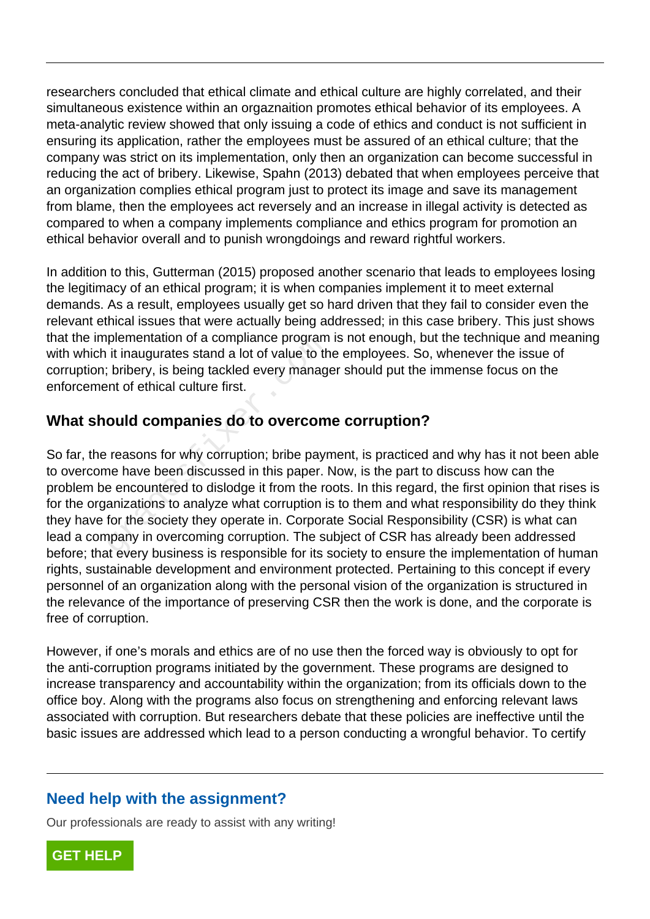researchers concluded that ethical climate and ethical culture are highly correlated, and their simultaneous existence within an orgaznaition promotes ethical behavior of its employees. A meta-analytic review showed that only issuing a code of ethics and conduct is not sufficient in ensuring its application, rather the employees must be assured of an ethical culture; that the company was strict on its implementation, only then an organization can become successful in reducing the act of bribery. Likewise, Spahn (2013) debated that when employees perceive that an organization complies ethical program just to protect its image and save its management from blame, then the employees act reversely and an increase in illegal activity is detected as compared to when a company implements compliance and ethics program for promotion an ethical behavior overall and to punish wrongdoings and reward rightful workers.

In addition to this, Gutterman (2015) proposed another scenario that leads to employees losing the legitimacy of an ethical program; it is when companies implement it to meet external demands. As a result, employees usually get so hard driven that they fail to consider even the relevant ethical issues that were actually being addressed; in this case bribery. This just shows that the implementation of a compliance program is not enough, but the technique and meaning with which it inaugurates stand a lot of value to the employees. So, whenever the issue of corruption; bribery, is being tackled every manager should put the immense focus on the enforcement of ethical culture first.

## **What should companies do to overcome corruption?**

So far, the reasons for why corruption; bribe payment, is practiced and why has it not been able to overcome have been discussed in this paper. Now, is the part to discuss how can the problem be encountered to dislodge it from the roots. In this regard, the first opinion that rises is for the organizations to analyze what corruption is to them and what responsibility do they think they have for the society they operate in. Corporate Social Responsibility (CSR) is what can lead a company in overcoming corruption. The subject of CSR has already been addressed before; that every business is responsible for its society to ensure the implementation of human rights, sustainable development and environment protected. Pertaining to this concept if every personnel of an organization along with the personal vision of the organization is structured in the relevance of the importance of preserving CSR then the work is done, and the corporate is free of corruption. plementation of a compilance program<br>it inaugurates stand a lot of value to the<br>is bribery, is being tackled every managent of ethical culture first.<br>**Ould companies do to overcom**<br>reasons for why corruption; bribe payr<br>ne

However, if one's morals and ethics are of no use then the forced way is obviously to opt for the anti-corruption programs initiated by the government. These programs are designed to increase transparency and accountability within the organization; from its officials down to the office boy. Along with the programs also focus on strengthening and enforcing relevant laws associated with corruption. But researchers debate that these policies are ineffective until the basic issues are addressed which lead to a person conducting a wrongful behavior. To certify

## **Need help with the assignment?**

Our professionals are ready to assist with any writing!

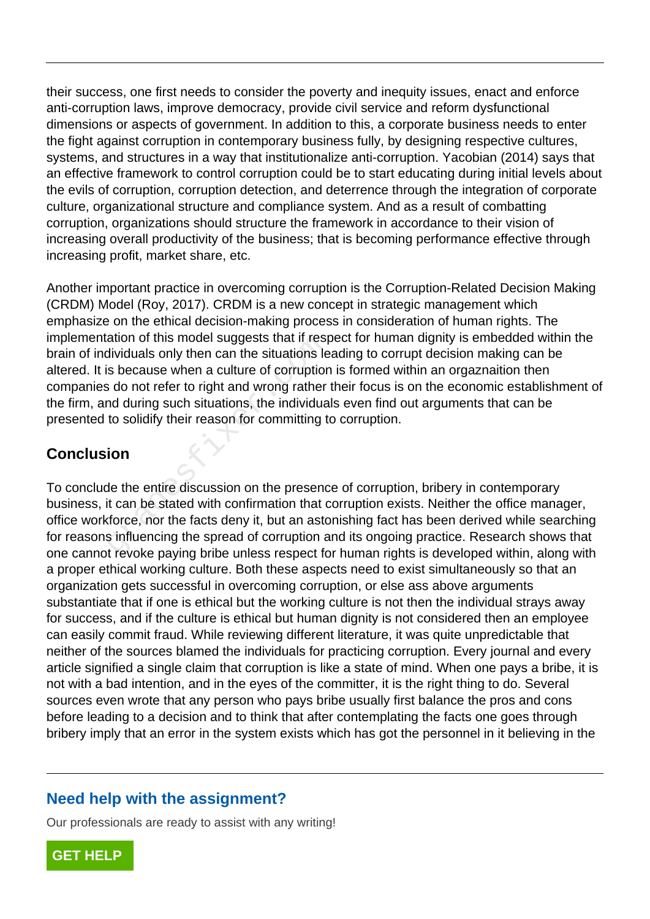their success, one first needs to consider the poverty and inequity issues, enact and enforce anti-corruption laws, improve democracy, provide civil service and reform dysfunctional dimensions or aspects of government. In addition to this, a corporate business needs to enter the fight against corruption in contemporary business fully, by designing respective cultures, systems, and structures in a way that institutionalize anti-corruption. Yacobian (2014) says that an effective framework to control corruption could be to start educating during initial levels about the evils of corruption, corruption detection, and deterrence through the integration of corporate culture, organizational structure and compliance system. And as a result of combatting corruption, organizations should structure the framework in accordance to their vision of increasing overall productivity of the business; that is becoming performance effective through increasing profit, market share, etc.

Another important practice in overcoming corruption is the Corruption-Related Decision Making (CRDM) Model (Roy, 2017). CRDM is a new concept in strategic management which emphasize on the ethical decision-making process in consideration of human rights. The implementation of this model suggests that if respect for human dignity is embedded within the brain of individuals only then can the situations leading to corrupt decision making can be altered. It is because when a culture of corruption is formed within an orgaznaition then companies do not refer to right and wrong rather their focus is on the economic establishment of the firm, and during such situations, the individuals even find out arguments that can be presented to solidify their reason for committing to corruption. ation of this model suggests that if resplantion of this model suggests that if resplantions let<br>is because when a culture of corruption<br>at do not refer to right and wrong rather<br>ind during such situations, the individua<br>t

#### **Conclusion**

To conclude the entire discussion on the presence of corruption, bribery in contemporary business, it can be stated with confirmation that corruption exists. Neither the office manager, office workforce, nor the facts deny it, but an astonishing fact has been derived while searching for reasons influencing the spread of corruption and its ongoing practice. Research shows that one cannot revoke paying bribe unless respect for human rights is developed within, along with a proper ethical working culture. Both these aspects need to exist simultaneously so that an organization gets successful in overcoming corruption, or else ass above arguments substantiate that if one is ethical but the working culture is not then the individual strays away for success, and if the culture is ethical but human dignity is not considered then an employee can easily commit fraud. While reviewing different literature, it was quite unpredictable that neither of the sources blamed the individuals for practicing corruption. Every journal and every article signified a single claim that corruption is like a state of mind. When one pays a bribe, it is not with a bad intention, and in the eyes of the committer, it is the right thing to do. Several sources even wrote that any person who pays bribe usually first balance the pros and cons before leading to a decision and to think that after contemplating the facts one goes through bribery imply that an error in the system exists which has got the personnel in it believing in the

## **Need help with the assignment?**

Our professionals are ready to assist with any writing!

**[GET HELP](https://my.gradesfixer.com/order?utm_campaign=pdf_sample)**